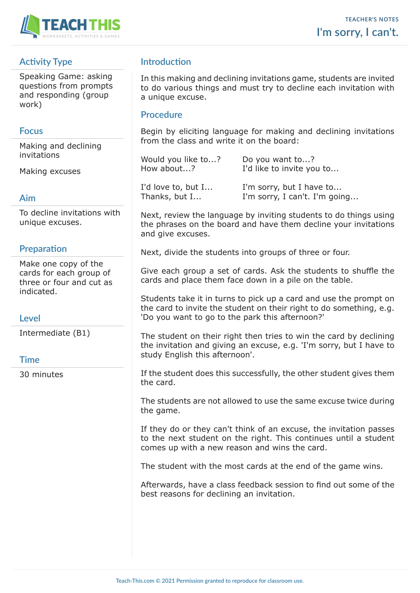

# **Activity Type**

Speaking Game: asking questions from prompts and responding (group work)

### **Focus**

Making and declining invitations

Making excuses

#### **Aim**

To decline invitations with unique excuses.

### **Preparation**

Make one copy of the cards for each group of three or four and cut as indicated.

#### **Level**

Intermediate (B1)

#### **Time**

30 minutes

# **Introduction**

In this making and declining invitations game, students are invited to do various things and must try to decline each invitation with a unique excuse.

#### **Procedure**

Begin by eliciting language for making and declining invitations from the class and write it on the board:

| Would you like to? | Do you want to?           |  |
|--------------------|---------------------------|--|
| How about?         | I'd like to invite you to |  |
|                    |                           |  |

I'd love to, but I... I'm sorry, but I have to... Thanks, but I... I'm sorry, I can't. I'm going...

Next, review the language by inviting students to do things using the phrases on the board and have them decline your invitations and give excuses.

Next, divide the students into groups of three or four.

Give each group a set of cards. Ask the students to shuffle the cards and place them face down in a pile on the table.

Students take it in turns to pick up a card and use the prompt on the card to invite the student on their right to do something, e.g. 'Do you want to go to the park this afternoon?'

The student on their right then tries to win the card by declining the invitation and giving an excuse, e.g. 'I'm sorry, but I have to study English this afternoon'.

If the student does this successfully, the other student gives them the card.

The students are not allowed to use the same excuse twice during the game.

If they do or they can't think of an excuse, the invitation passes to the next student on the right. This continues until a student comes up with a new reason and wins the card.

The student with the most cards at the end of the game wins.

Afterwards, have a class feedback session to find out some of the best reasons for declining an invitation.